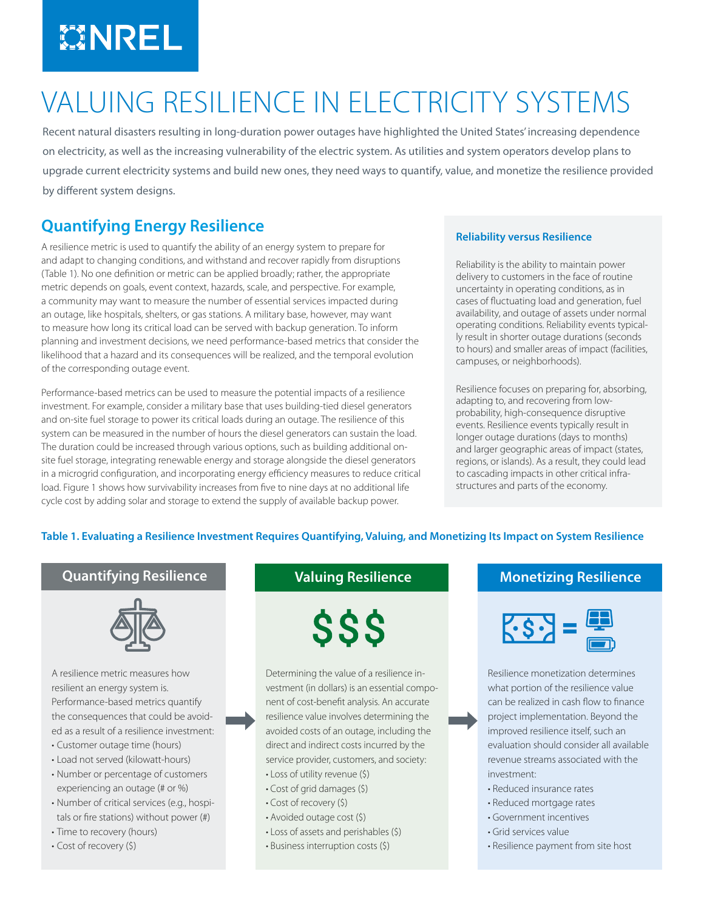# MREL

## VALUING RESILIENCE IN ELECTRICITY SYSTEMS

Recent natural disasters resulting in long-duration power outages have highlighted the United States' increasing dependence on electricity, as well as the increasing vulnerability of the electric system. As utilities and system operators develop plans to upgrade current electricity systems and build new ones, they need ways to quantify, value, and monetize the resilience provided by different system designs.

### **Quantifying Energy Resilience**

A resilience metric is used to quantify the ability of an energy system to prepare for and adapt to changing conditions, and withstand and recover rapidly from disruptions (Table 1). No one definition or metric can be applied broadly; rather, the appropriate metric depends on goals, event context, hazards, scale, and perspective. For example, a community may want to measure the number of essential services impacted during an outage, like hospitals, shelters, or gas stations. A military base, however, may want to measure how long its critical load can be served with backup generation. To inform planning and investment decisions, we need performance-based metrics that consider the likelihood that a hazard and its consequences will be realized, and the temporal evolution of the corresponding outage event.

Performance-based metrics can be used to measure the potential impacts of a resilience investment. For example, consider a military base that uses building-tied diesel generators and on-site fuel storage to power its critical loads during an outage. The resilience of this system can be measured in the number of hours the diesel generators can sustain the load. The duration could be increased through various options, such as building additional onsite fuel storage, integrating renewable energy and storage alongside the diesel generators in a microgrid configuration, and incorporating energy efficiency measures to reduce critical load. Figure 1 shows how survivability increases from five to nine days at no additional life cycle cost by adding solar and storage to extend the supply of available backup power.

#### **Reliability versus Resilience**

Reliability is the ability to maintain power delivery to customers in the face of routine uncertainty in operating conditions, as in cases of fluctuating load and generation, fuel availability, and outage of assets under normal operating conditions. Reliability events typically result in shorter outage durations (seconds to hours) and smaller areas of impact (facilities, campuses, or neighborhoods).

Resilience focuses on preparing for, absorbing, adapting to, and recovering from lowprobability, high-consequence disruptive events. Resilience events typically result in longer outage durations (days to months) and larger geographic areas of impact (states, regions, or islands). As a result, they could lead to cascading impacts in other critical infrastructures and parts of the economy.

#### **Table 1. Evaluating a Resilience Investment Requires Quantifying, Valuing, and Monetizing Its Impact on System Resilience**



A resilience metric measures how resilient an energy system is. Performance-based metrics quantify the consequences that could be avoided as a result of a resilience investment:

- Customer outage time (hours)
- Load not served (kilowatt-hours)
- Number or percentage of customers experiencing an outage (# or %)
- Number of critical services (e.g., hospitals or fire stations) without power (#)
- Time to recovery (hours)
- Cost of recovery (\$)

SSS

Determining the value of a resilience investment (in dollars) is an essential component of cost-benefit analysis. An accurate resilience value involves determining the avoided costs of an outage, including the direct and indirect costs incurred by the service provider, customers, and society:

- Loss of utility revenue (\$)
- Cost of grid damages (\$)
- Cost of recovery (\$)
- Avoided outage cost (\$)
- Loss of assets and perishables (\$)
- Business interruption costs (\$)

#### **Quantifying Resilience Valuing Resilience Monetizing Resilience**



Resilience monetization determines what portion of the resilience value can be realized in cash flow to finance project implementation. Beyond the improved resilience itself, such an evaluation should consider all available revenue streams associated with the investment:

- Reduced insurance rates
- Reduced mortgage rates
- Government incentives
- Grid services value
- Resilience payment from site host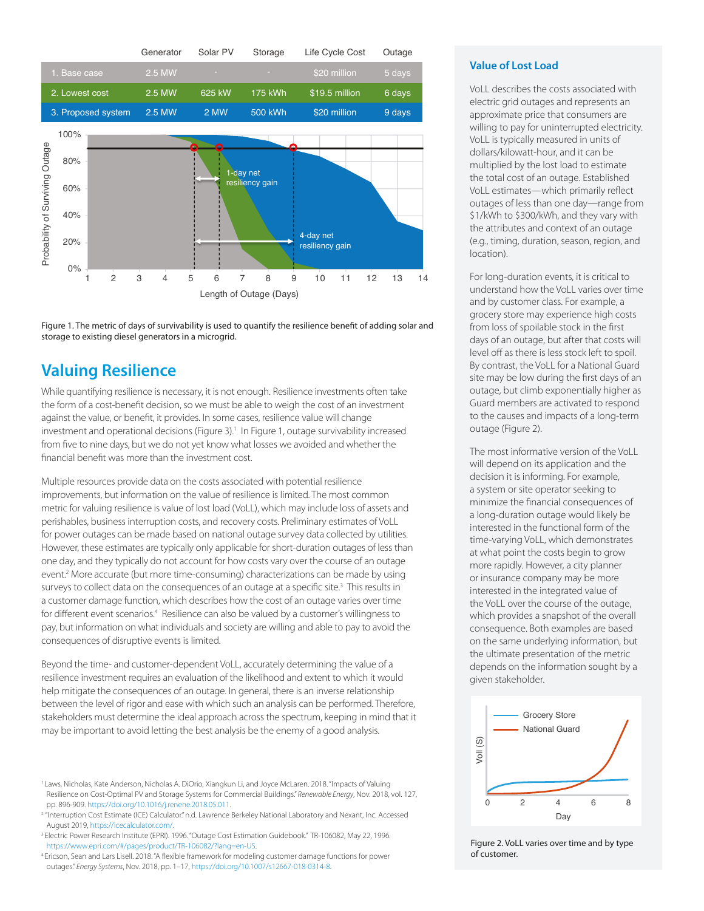

Figure 1. The metric of days of survivability is used to quantify the resilience benefit of adding solar and storage to existing diesel generators in a microgrid.

#### **Valuing Resilience**

While quantifying resilience is necessary, it is not enough. Resilience investments often take the form of a cost-benefit decision, so we must be able to weigh the cost of an investment against the value, or benefit, it provides. In some cases, resilience value will change investment and operational decisions (Figure 3).<sup>1</sup> In Figure 1, outage survivability increased from five to nine days, but we do not yet know what losses we avoided and whether the financial benefit was more than the investment cost.

Multiple resources provide data on the costs associated with potential resilience improvements, but information on the value of resilience is limited. The most common metric for valuing resilience is value of lost load (VoLL), which may include loss of assets and perishables, business interruption costs, and recovery costs. Preliminary estimates of VoLL for power outages can be made based on national outage survey data collected by utilities. However, these estimates are typically only applicable for short-duration outages of less than one day, and they typically do not account for how costs vary over the course of an outage event.<sup>2</sup> More accurate (but more time-consuming) characterizations can be made by using surveys to collect data on the consequences of an outage at a specific site.<sup>3</sup> This results in a customer damage function, which describes how the cost of an outage varies over time for different event scenarios.<sup>4</sup> Resilience can also be valued by a customer's willingness to pay, but information on what individuals and society are willing and able to pay to avoid the consequences of disruptive events is limited.

Beyond the time- and customer-dependent VoLL, accurately determining the value of a resilience investment requires an evaluation of the likelihood and extent to which it would help mitigate the consequences of an outage. In general, there is an inverse relationship between the level of rigor and ease with which such an analysis can be performed. Therefore, stakeholders must determine the ideal approach across the spectrum, keeping in mind that it may be important to avoid letting the best analysis be the enemy of a good analysis.

- 1 Laws, Nicholas, Kate Anderson, Nicholas A. DiOrio, Xiangkun Li, and Joyce McLaren. 2018. "Impacts of Valuing Resilience on Cost-Optimal PV and Storage Systems for Commercial Buildings." *Renewable Energy*, Nov. 2018, vol. 127, pp. 896-909. [https://doi.org/10.1016/j.renene.2018.05.011.](https://doi.org/10.1016/j.renene.2018.05.011)
- <sup>2</sup> "Interruption Cost Estimate (ICE) Calculator." n.d. Lawrence Berkeley National Laboratory and Nexant, Inc. Accessed August 2019,<https://icecalculator.com/.>
- 3 Electric Power Research Institute (EPRI). 1996. "Outage Cost Estimation Guidebook." TR-106082, May 22, 1996. <https://www.epri.com/#/pages/product/TR-106082/?lang=en-US>.
- 4 Ericson, Sean and Lars Lisell. 2018. "A flexible framework for modeling customer damage functions for power outages." *Energy Systems*, Nov. 2018, pp. 1–17, <https://doi.org/10.1007/s12667-018-0314-8>.

#### **Value of Lost Load**

VoLL describes the costs associated with electric grid outages and represents an approximate price that consumers are willing to pay for uninterrupted electricity. VoLL is typically measured in units of dollars/kilowatt-hour, and it can be multiplied by the lost load to estimate the total cost of an outage. Established VoLL estimates—which primarily reflect outages of less than one day—range from \$1/kWh to \$300/kWh, and they vary with the attributes and context of an outage (e.g., timing, duration, season, region, and location).

For long-duration events, it is critical to understand how the VoLL varies over time and by customer class. For example, a grocery store may experience high costs from loss of spoilable stock in the first days of an outage, but after that costs will level off as there is less stock left to spoil. By contrast, the VoLL for a National Guard site may be low during the first days of an outage, but climb exponentially higher as Guard members are activated to respond to the causes and impacts of a long-term outage (Figure 2).

The most informative version of the VoLL will depend on its application and the decision it is informing. For example, a system or site operator seeking to minimize the financial consequences of a long-duration outage would likely be interested in the functional form of the time-varying VoLL, which demonstrates at what point the costs begin to grow more rapidly. However, a city planner or insurance company may be more interested in the integrated value of the VoLL over the course of the outage, which provides a snapshot of the overall consequence. Both examples are based on the same underlying information, but the ultimate presentation of the metric depends on the information sought by a given stakeholder.



Figure 2. VoLL varies over time and by type of customer.